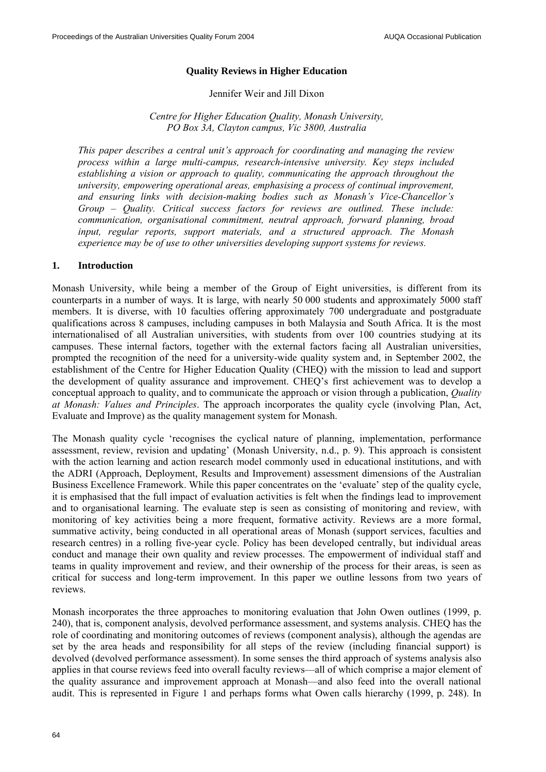### **Quality Reviews in Higher Education**

#### Jennifer Weir and Jill Dixon

### *Centre for Higher Education Quality, Monash University, PO Box 3A, Clayton campus, Vic 3800, Australia*

*This paper describes a central unit's approach for coordinating and managing the review process within a large multi-campus, research-intensive university. Key steps included establishing a vision or approach to quality, communicating the approach throughout the university, empowering operational areas, emphasising a process of continual improvement, and ensuring links with decision-making bodies such as Monash's Vice-Chancellor's Group – Quality. Critical success factors for reviews are outlined. These include: communication, organisational commitment, neutral approach, forward planning, broad input, regular reports, support materials, and a structured approach. The Monash experience may be of use to other universities developing support systems for reviews.* 

#### **1. Introduction**

Monash University, while being a member of the Group of Eight universities, is different from its counterparts in a number of ways. It is large, with nearly 50 000 students and approximately 5000 staff members. It is diverse, with 10 faculties offering approximately 700 undergraduate and postgraduate qualifications across 8 campuses, including campuses in both Malaysia and South Africa. It is the most internationalised of all Australian universities, with students from over 100 countries studying at its campuses. These internal factors, together with the external factors facing all Australian universities, prompted the recognition of the need for a university-wide quality system and, in September 2002, the establishment of the Centre for Higher Education Quality (CHEQ) with the mission to lead and support the development of quality assurance and improvement. CHEQ's first achievement was to develop a conceptual approach to quality, and to communicate the approach or vision through a publication, *Quality at Monash: Values and Principles*. The approach incorporates the quality cycle (involving Plan, Act, Evaluate and Improve) as the quality management system for Monash.

The Monash quality cycle 'recognises the cyclical nature of planning, implementation, performance assessment, review, revision and updating' (Monash University, n.d., p. 9). This approach is consistent with the action learning and action research model commonly used in educational institutions, and with the ADRI (Approach, Deployment, Results and Improvement) assessment dimensions of the Australian Business Excellence Framework. While this paper concentrates on the 'evaluate' step of the quality cycle, it is emphasised that the full impact of evaluation activities is felt when the findings lead to improvement and to organisational learning. The evaluate step is seen as consisting of monitoring and review, with monitoring of key activities being a more frequent, formative activity. Reviews are a more formal, summative activity, being conducted in all operational areas of Monash (support services, faculties and research centres) in a rolling five-year cycle. Policy has been developed centrally, but individual areas conduct and manage their own quality and review processes. The empowerment of individual staff and teams in quality improvement and review, and their ownership of the process for their areas, is seen as critical for success and long-term improvement. In this paper we outline lessons from two years of reviews.

Monash incorporates the three approaches to monitoring evaluation that John Owen outlines (1999, p. 240), that is, component analysis, devolved performance assessment, and systems analysis. CHEQ has the role of coordinating and monitoring outcomes of reviews (component analysis), although the agendas are set by the area heads and responsibility for all steps of the review (including financial support) is devolved (devolved performance assessment). In some senses the third approach of systems analysis also applies in that course reviews feed into overall faculty reviews—all of which comprise a major element of the quality assurance and improvement approach at Monash—and also feed into the overall national audit. This is represented in Figure 1 and perhaps forms what Owen calls hierarchy (1999, p. 248). In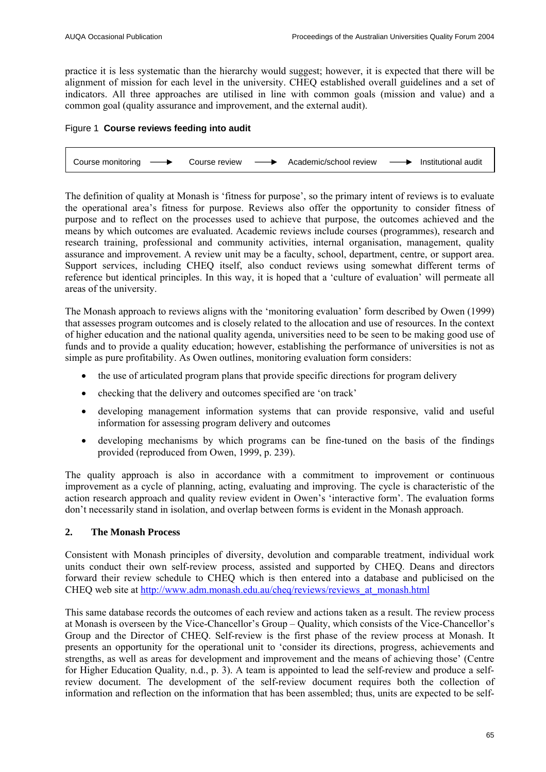practice it is less systematic than the hierarchy would suggest; however, it is expected that there will be alignment of mission for each level in the university. CHEQ established overall guidelines and a set of indicators. All three approaches are utilised in line with common goals (mission and value) and a common goal (quality assurance and improvement, and the external audit).

# Figure 1 **Course reviews feeding into audit**

Course monitoring  $\longrightarrow$  Course review  $\longrightarrow$  Academic/school review  $\longrightarrow$  Institutional audit

The definition of quality at Monash is 'fitness for purpose', so the primary intent of reviews is to evaluate the operational area's fitness for purpose. Reviews also offer the opportunity to consider fitness of purpose and to reflect on the processes used to achieve that purpose, the outcomes achieved and the means by which outcomes are evaluated. Academic reviews include courses (programmes), research and research training, professional and community activities, internal organisation, management, quality assurance and improvement. A review unit may be a faculty, school, department, centre, or support area. Support services, including CHEQ itself, also conduct reviews using somewhat different terms of reference but identical principles. In this way, it is hoped that a 'culture of evaluation' will permeate all areas of the university.

The Monash approach to reviews aligns with the 'monitoring evaluation' form described by Owen (1999) that assesses program outcomes and is closely related to the allocation and use of resources. In the context of higher education and the national quality agenda, universities need to be seen to be making good use of funds and to provide a quality education; however, establishing the performance of universities is not as simple as pure profitability. As Owen outlines, monitoring evaluation form considers:

- the use of articulated program plans that provide specific directions for program delivery
- checking that the delivery and outcomes specified are 'on track'
- developing management information systems that can provide responsive, valid and useful information for assessing program delivery and outcomes
- developing mechanisms by which programs can be fine-tuned on the basis of the findings provided (reproduced from Owen, 1999, p. 239).

The quality approach is also in accordance with a commitment to improvement or continuous improvement as a cycle of planning, acting, evaluating and improving. The cycle is characteristic of the action research approach and quality review evident in Owen's 'interactive form'. The evaluation forms don't necessarily stand in isolation, and overlap between forms is evident in the Monash approach.

### **2. The Monash Process**

Consistent with Monash principles of diversity, devolution and comparable treatment, individual work units conduct their own self-review process, assisted and supported by CHEQ. Deans and directors forward their review schedule to CHEQ which is then entered into a database and publicised on the CHEQ web site at http://www.adm.monash.edu.au/cheq/reviews/reviews\_at\_monash.html

This same database records the outcomes of each review and actions taken as a result. The review process at Monash is overseen by the Vice-Chancellor's Group – Quality, which consists of the Vice-Chancellor's Group and the Director of CHEQ. Self-review is the first phase of the review process at Monash. It presents an opportunity for the operational unit to 'consider its directions, progress, achievements and strengths, as well as areas for development and improvement and the means of achieving those' (Centre for Higher Education Quality*,* n.d., p. 3). A team is appointed to lead the self-review and produce a selfreview document. The development of the self-review document requires both the collection of information and reflection on the information that has been assembled; thus, units are expected to be self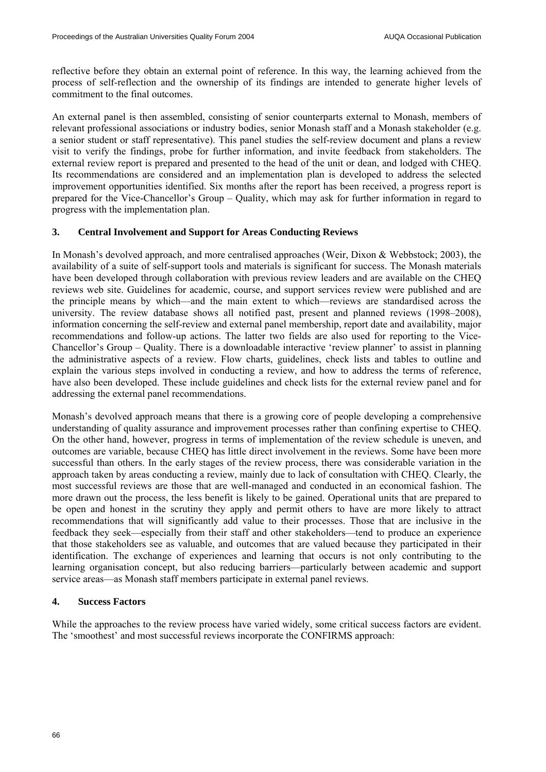reflective before they obtain an external point of reference. In this way, the learning achieved from the process of self-reflection and the ownership of its findings are intended to generate higher levels of commitment to the final outcomes.

An external panel is then assembled, consisting of senior counterparts external to Monash, members of relevant professional associations or industry bodies, senior Monash staff and a Monash stakeholder (e.g. a senior student or staff representative). This panel studies the self-review document and plans a review visit to verify the findings, probe for further information, and invite feedback from stakeholders. The external review report is prepared and presented to the head of the unit or dean, and lodged with CHEQ. Its recommendations are considered and an implementation plan is developed to address the selected improvement opportunities identified. Six months after the report has been received, a progress report is prepared for the Vice-Chancellor's Group – Quality, which may ask for further information in regard to progress with the implementation plan.

# **3. Central Involvement and Support for Areas Conducting Reviews**

In Monash's devolved approach, and more centralised approaches (Weir, Dixon & Webbstock; 2003), the availability of a suite of self-support tools and materials is significant for success. The Monash materials have been developed through collaboration with previous review leaders and are available on the CHEQ reviews web site. Guidelines for academic, course, and support services review were published and are the principle means by which—and the main extent to which—reviews are standardised across the university. The review database shows all notified past, present and planned reviews (1998–2008), information concerning the self-review and external panel membership, report date and availability, major recommendations and follow-up actions. The latter two fields are also used for reporting to the Vice-Chancellor's Group – Quality. There is a downloadable interactive 'review planner' to assist in planning the administrative aspects of a review. Flow charts, guidelines, check lists and tables to outline and explain the various steps involved in conducting a review, and how to address the terms of reference, have also been developed. These include guidelines and check lists for the external review panel and for addressing the external panel recommendations.

Monash's devolved approach means that there is a growing core of people developing a comprehensive understanding of quality assurance and improvement processes rather than confining expertise to CHEQ. On the other hand, however, progress in terms of implementation of the review schedule is uneven, and outcomes are variable, because CHEQ has little direct involvement in the reviews. Some have been more successful than others. In the early stages of the review process, there was considerable variation in the approach taken by areas conducting a review, mainly due to lack of consultation with CHEQ. Clearly, the most successful reviews are those that are well-managed and conducted in an economical fashion. The more drawn out the process, the less benefit is likely to be gained. Operational units that are prepared to be open and honest in the scrutiny they apply and permit others to have are more likely to attract recommendations that will significantly add value to their processes. Those that are inclusive in the feedback they seek—especially from their staff and other stakeholders—tend to produce an experience that those stakeholders see as valuable, and outcomes that are valued because they participated in their identification. The exchange of experiences and learning that occurs is not only contributing to the learning organisation concept, but also reducing barriers—particularly between academic and support service areas—as Monash staff members participate in external panel reviews.

### **4. Success Factors**

While the approaches to the review process have varied widely, some critical success factors are evident. The 'smoothest' and most successful reviews incorporate the CONFIRMS approach: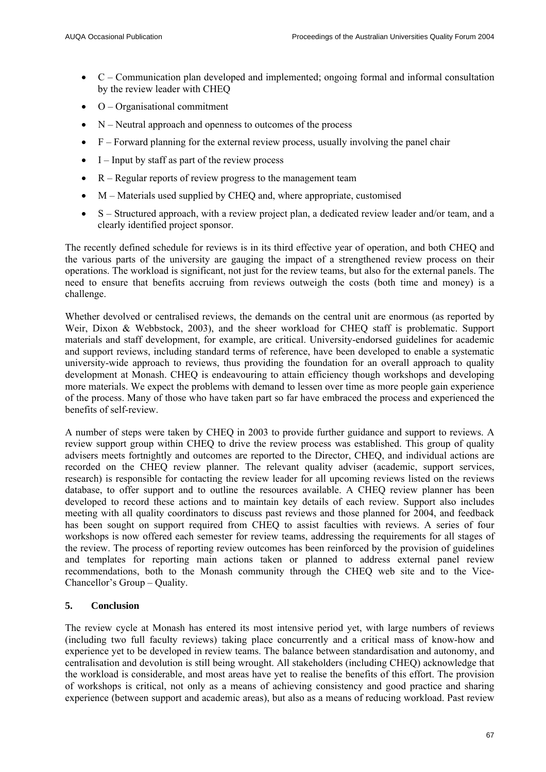- C Communication plan developed and implemented; ongoing formal and informal consultation by the review leader with CHEQ
- O Organisational commitment
- $\bullet$  N Neutral approach and openness to outcomes of the process
- F Forward planning for the external review process, usually involving the panel chair
- $\bullet$  I Input by staff as part of the review process
- R Regular reports of review progress to the management team
- M Materials used supplied by CHEQ and, where appropriate, customised
- S Structured approach, with a review project plan, a dedicated review leader and/or team, and a clearly identified project sponsor.

The recently defined schedule for reviews is in its third effective year of operation, and both CHEQ and the various parts of the university are gauging the impact of a strengthened review process on their operations. The workload is significant, not just for the review teams, but also for the external panels. The need to ensure that benefits accruing from reviews outweigh the costs (both time and money) is a challenge.

Whether devolved or centralised reviews, the demands on the central unit are enormous (as reported by Weir, Dixon & Webbstock, 2003), and the sheer workload for CHEQ staff is problematic. Support materials and staff development, for example, are critical. University-endorsed guidelines for academic and support reviews, including standard terms of reference, have been developed to enable a systematic university-wide approach to reviews, thus providing the foundation for an overall approach to quality development at Monash. CHEQ is endeavouring to attain efficiency though workshops and developing more materials. We expect the problems with demand to lessen over time as more people gain experience of the process. Many of those who have taken part so far have embraced the process and experienced the benefits of self-review.

A number of steps were taken by CHEQ in 2003 to provide further guidance and support to reviews. A review support group within CHEQ to drive the review process was established. This group of quality advisers meets fortnightly and outcomes are reported to the Director, CHEQ, and individual actions are recorded on the CHEQ review planner. The relevant quality adviser (academic, support services, research) is responsible for contacting the review leader for all upcoming reviews listed on the reviews database, to offer support and to outline the resources available. A CHEQ review planner has been developed to record these actions and to maintain key details of each review. Support also includes meeting with all quality coordinators to discuss past reviews and those planned for 2004, and feedback has been sought on support required from CHEQ to assist faculties with reviews. A series of four workshops is now offered each semester for review teams, addressing the requirements for all stages of the review. The process of reporting review outcomes has been reinforced by the provision of guidelines and templates for reporting main actions taken or planned to address external panel review recommendations, both to the Monash community through the CHEQ web site and to the Vice-Chancellor's Group – Quality.

# **5. Conclusion**

The review cycle at Monash has entered its most intensive period yet, with large numbers of reviews (including two full faculty reviews) taking place concurrently and a critical mass of know-how and experience yet to be developed in review teams. The balance between standardisation and autonomy, and centralisation and devolution is still being wrought. All stakeholders (including CHEQ) acknowledge that the workload is considerable, and most areas have yet to realise the benefits of this effort. The provision of workshops is critical, not only as a means of achieving consistency and good practice and sharing experience (between support and academic areas), but also as a means of reducing workload. Past review